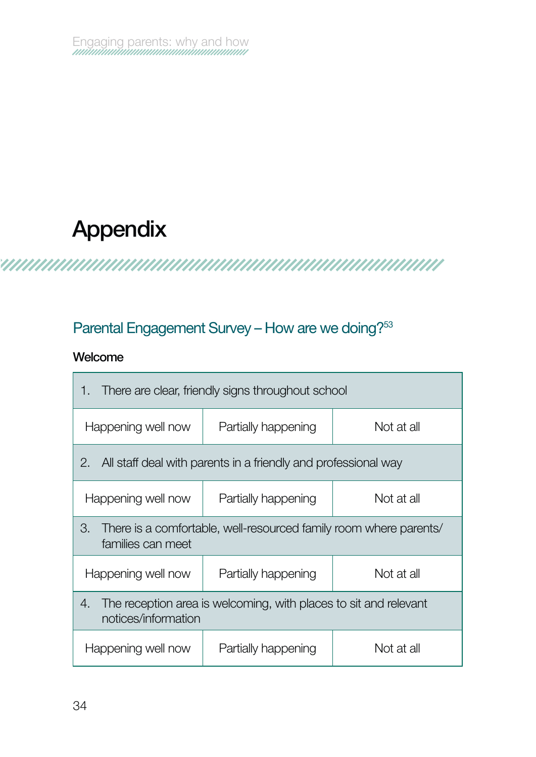# **Appendix**

## 

## Parental Engagement Survey – How are we doing?<sup>53</sup>

#### **Welcome**

| There are clear, friendly signs throughout school<br>1.                                       |                     |            |  |
|-----------------------------------------------------------------------------------------------|---------------------|------------|--|
| Happening well now                                                                            | Partially happening | Not at all |  |
| All staff deal with parents in a friendly and professional way<br>2.                          |                     |            |  |
| Happening well now                                                                            | Partially happening | Not at all |  |
| З.<br>There is a comfortable, well-resourced family room where parents/<br>families can meet  |                     |            |  |
| Happening well now                                                                            | Partially happening | Not at all |  |
| The reception area is welcoming, with places to sit and relevant<br>4.<br>notices/information |                     |            |  |
| Happening well now                                                                            | Partially happening | Not at all |  |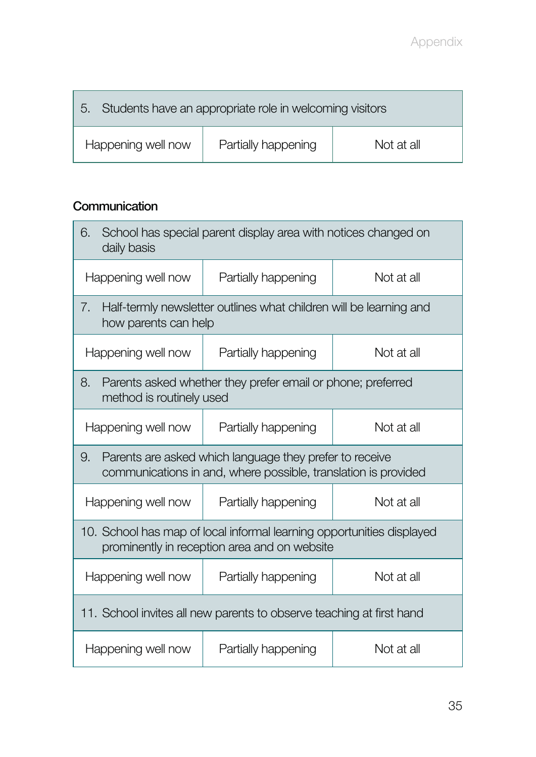| Students have an appropriate role in welcoming visitors<br>5. |                     |            |
|---------------------------------------------------------------|---------------------|------------|
| Happening well now                                            | Partially happening | Not at all |

### **Communication**

| School has special parent display area with notices changed on<br>6.<br>daily basis                                             |                     |            |  |
|---------------------------------------------------------------------------------------------------------------------------------|---------------------|------------|--|
| Happening well now                                                                                                              | Partially happening | Not at all |  |
| Half-termly newsletter outlines what children will be learning and<br>7.<br>how parents can help                                |                     |            |  |
| Happening well now                                                                                                              | Partially happening | Not at all |  |
| Parents asked whether they prefer email or phone; preferred<br>8.<br>method is routinely used                                   |                     |            |  |
| Happening well now                                                                                                              | Partially happening | Not at all |  |
| 9.<br>Parents are asked which language they prefer to receive<br>communications in and, where possible, translation is provided |                     |            |  |
| Happening well now                                                                                                              | Partially happening | Not at all |  |
| 10. School has map of local informal learning opportunities displayed<br>prominently in reception area and on website           |                     |            |  |
| Happening well now                                                                                                              | Partially happening | Not at all |  |
| 11. School invites all new parents to observe teaching at first hand                                                            |                     |            |  |
| Happening well now                                                                                                              | Partially happening | Not at all |  |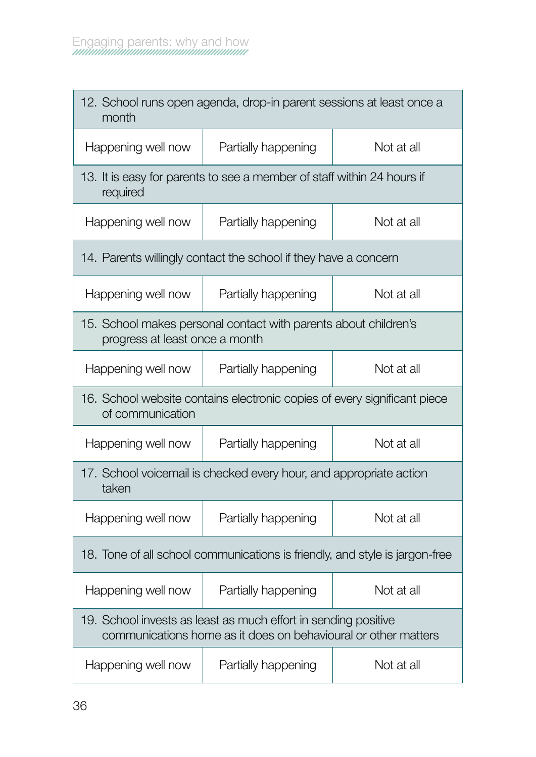| 12. School runs open agenda, drop-in parent sessions at least once a<br>month                                                    |                                                                        |            |  |
|----------------------------------------------------------------------------------------------------------------------------------|------------------------------------------------------------------------|------------|--|
| Happening well now                                                                                                               | Partially happening                                                    | Not at all |  |
| required                                                                                                                         | 13. It is easy for parents to see a member of staff within 24 hours if |            |  |
| Happening well now                                                                                                               | Partially happening                                                    | Not at all |  |
| 14. Parents willingly contact the school if they have a concern                                                                  |                                                                        |            |  |
| Happening well now                                                                                                               | Partially happening                                                    | Not at all |  |
| 15. School makes personal contact with parents about children's<br>progress at least once a month                                |                                                                        |            |  |
| Happening well now                                                                                                               | Partially happening                                                    | Not at all |  |
| 16. School website contains electronic copies of every significant piece<br>of communication                                     |                                                                        |            |  |
| Happening well now                                                                                                               | Partially happening                                                    | Not at all |  |
| 17. School voicemail is checked every hour, and appropriate action<br>taken                                                      |                                                                        |            |  |
| Happening well now                                                                                                               | Partially happening                                                    | Not at all |  |
| 18. Tone of all school communications is friendly, and style is jargon-free                                                      |                                                                        |            |  |
| Happening well now                                                                                                               | Partially happening                                                    | Not at all |  |
| 19. School invests as least as much effort in sending positive<br>communications home as it does on behavioural or other matters |                                                                        |            |  |
| Happening well now                                                                                                               | Partially happening                                                    | Not at all |  |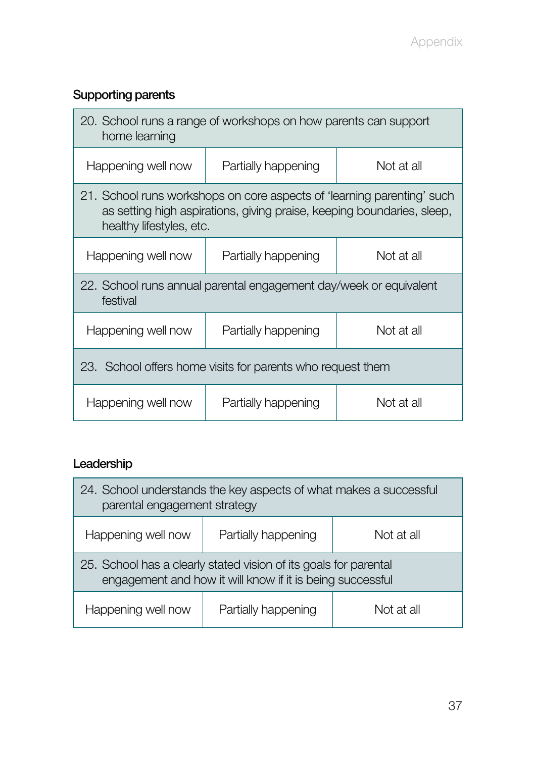## **Supporting parents**

| 20. School runs a range of workshops on how parents can support<br>home learning                                                                                             |                     |            |  |
|------------------------------------------------------------------------------------------------------------------------------------------------------------------------------|---------------------|------------|--|
| Happening well now                                                                                                                                                           | Partially happening | Not at all |  |
| 21. School runs workshops on core aspects of 'learning parenting' such<br>as setting high aspirations, giving praise, keeping boundaries, sleep,<br>healthy lifestyles, etc. |                     |            |  |
| Happening well now                                                                                                                                                           | Partially happening | Not at all |  |
| 22. School runs annual parental engagement day/week or equivalent<br>festival                                                                                                |                     |            |  |
| Happening well now                                                                                                                                                           | Partially happening | Not at all |  |
| 23. School offers home visits for parents who request them                                                                                                                   |                     |            |  |
| Happening well now                                                                                                                                                           | Partially happening | Not at all |  |

## **Leadership**

| 24. School understands the key aspects of what makes a successful<br>parental engagement strategy                             |                     |            |
|-------------------------------------------------------------------------------------------------------------------------------|---------------------|------------|
| Happening well now                                                                                                            | Partially happening | Not at all |
| 25. School has a clearly stated vision of its goals for parental<br>engagement and how it will know if it is being successful |                     |            |
| Happening well now                                                                                                            | Partially happening | Not at all |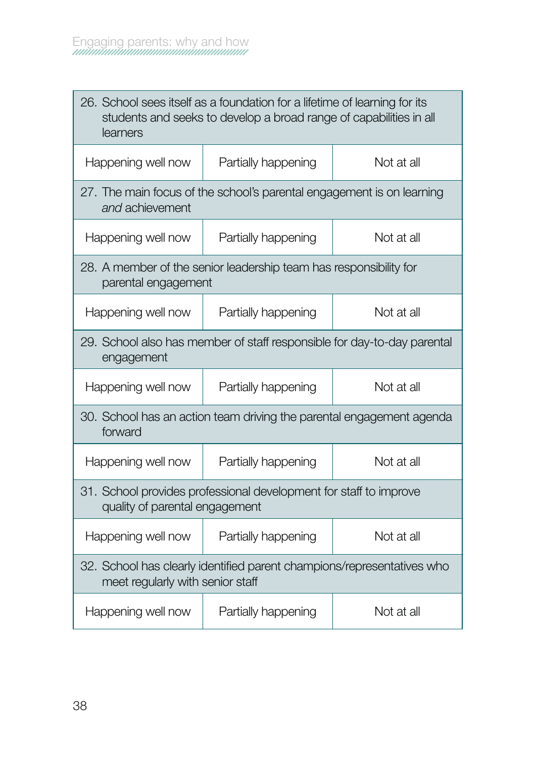| 26. School sees itself as a foundation for a lifetime of learning for its<br>students and seeks to develop a broad range of capabilities in all<br>learners |                     |            |  |
|-------------------------------------------------------------------------------------------------------------------------------------------------------------|---------------------|------------|--|
| Happening well now                                                                                                                                          | Partially happening | Not at all |  |
| 27. The main focus of the school's parental engagement is on learning<br>and achievement                                                                    |                     |            |  |
| Happening well now                                                                                                                                          | Partially happening | Not at all |  |
| 28. A member of the senior leadership team has responsibility for<br>parental engagement                                                                    |                     |            |  |
| Happening well now                                                                                                                                          | Partially happening | Not at all |  |
| 29. School also has member of staff responsible for day-to-day parental<br>engagement                                                                       |                     |            |  |
| Happening well now                                                                                                                                          | Partially happening | Not at all |  |
| 30. School has an action team driving the parental engagement agenda<br>forward                                                                             |                     |            |  |
| Happening well now                                                                                                                                          | Partially happening | Not at all |  |
| 31. School provides professional development for staff to improve<br>quality of parental engagement                                                         |                     |            |  |
| Happening well now                                                                                                                                          | Partially happening | Not at all |  |
| 32. School has clearly identified parent champions/representatives who<br>meet regularly with senior staff                                                  |                     |            |  |
| Happening well now                                                                                                                                          | Partially happening | Not at all |  |